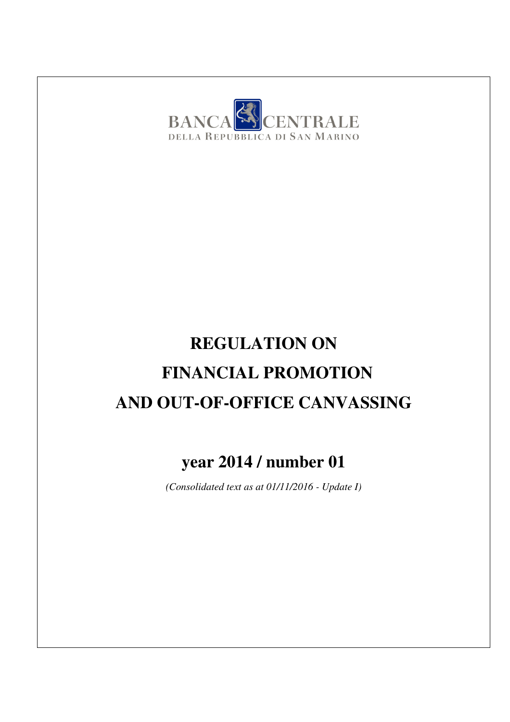

# **REGULATION ON FINANCIAL PROMOTION AND OUT-OF-OFFICE CANVASSING**

# **year 2014 / number 01**

*(Consolidated text as at 01/11/2016 - Update I)*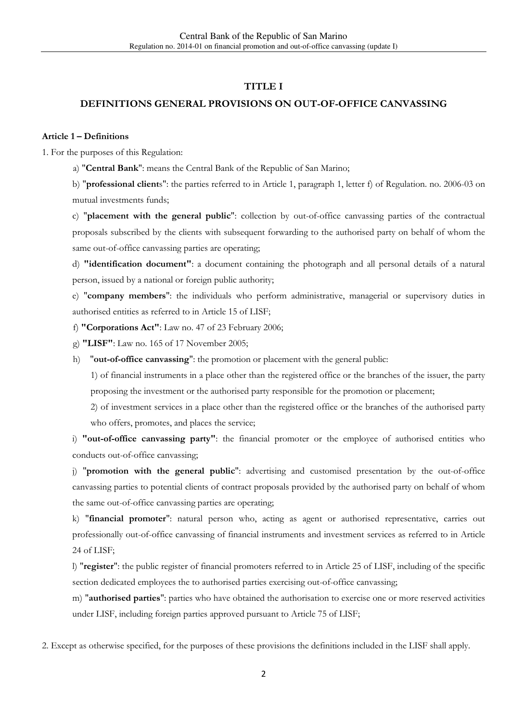#### **TITLE I**

#### **DEFINITIONS GENERAL PROVISIONS ON OUT-OF-OFFICE CANVASSING**

#### **Article 1 – Definitions**

1. For the purposes of this Regulation:

a) "**Central Bank**": means the Central Bank of the Republic of San Marino;

b) "**professional client**s": the parties referred to in Article 1, paragraph 1, letter f) of Regulation. no. 2006-03 on mutual investments funds;

c) "**placement with the general public**": collection by out-of-office canvassing parties of the contractual proposals subscribed by the clients with subsequent forwarding to the authorised party on behalf of whom the same out-of-office canvassing parties are operating;

d) **"identification document"**: a document containing the photograph and all personal details of a natural person, issued by a national or foreign public authority;

e) "**company members**": the individuals who perform administrative, managerial or supervisory duties in authorised entities as referred to in Article 15 of LISF;

f) **"Corporations Act"**: Law no. 47 of 23 February 2006;

g) **"LISF"**: Law no. 165 of 17 November 2005;

h) "**out-of-office canvassing**": the promotion or placement with the general public:

1) of financial instruments in a place other than the registered office or the branches of the issuer, the party proposing the investment or the authorised party responsible for the promotion or placement;

2) of investment services in a place other than the registered office or the branches of the authorised party who offers, promotes, and places the service;

i) **"out-of-office canvassing party"**: the financial promoter or the employee of authorised entities who conducts out-of-office canvassing;

j) "**promotion with the general public**": advertising and customised presentation by the out-of-office canvassing parties to potential clients of contract proposals provided by the authorised party on behalf of whom the same out-of-office canvassing parties are operating;

k) "**financial promoter**": natural person who, acting as agent or authorised representative, carries out professionally out-of-office canvassing of financial instruments and investment services as referred to in Article 24 of LISF;

l) "**register**": the public register of financial promoters referred to in Article 25 of LISF, including of the specific section dedicated employees the to authorised parties exercising out-of-office canvassing;

m) "**authorised parties**": parties who have obtained the authorisation to exercise one or more reserved activities under LISF, including foreign parties approved pursuant to Article 75 of LISF;

2. Except as otherwise specified, for the purposes of these provisions the definitions included in the LISF shall apply.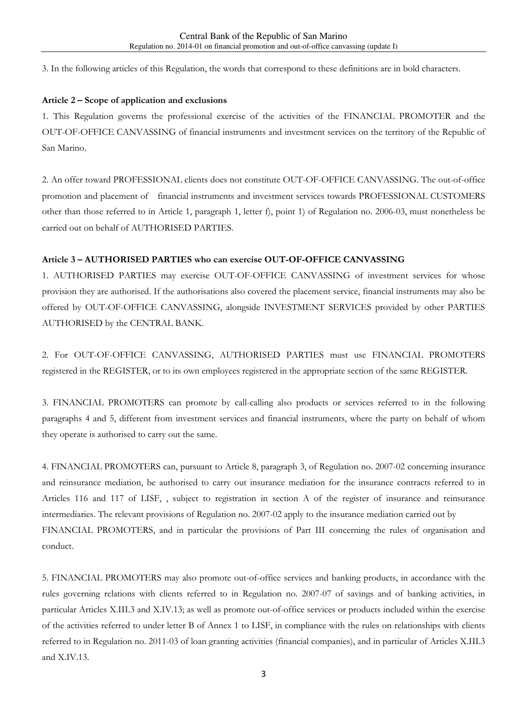3. In the following articles of this Regulation, the words that correspond to these definitions are in bold characters.

#### **Article 2 – Scope of application and exclusions**

1. This Regulation governs the professional exercise of the activities of the FINANCIAL PROMOTER and the OUT-OF-OFFICE CANVASSING of financial instruments and investment services on the territory of the Republic of San Marino.

2. An offer toward PROFESSIONAL clients does not constitute OUT-OF-OFFICE CANVASSING. The out-of-office promotion and placement of financial instruments and investment services towards PROFESSIONAL CUSTOMERS other than those referred to in Article 1, paragraph 1, letter f), point 1) of Regulation no. 2006-03, must nonetheless be carried out on behalf of AUTHORISED PARTIES.

#### **Article 3 – AUTHORISED PARTIES who can exercise OUT-OF-OFFICE CANVASSING**

1. AUTHORISED PARTIES may exercise OUT-OF-OFFICE CANVASSING of investment services for whose provision they are authorised. If the authorisations also covered the placement service, financial instruments may also be offered by OUT-OF-OFFICE CANVASSING, alongside INVESTMENT SERVICES provided by other PARTIES AUTHORISED by the CENTRAL BANK.

2. For OUT-OF-OFFICE CANVASSING, AUTHORISED PARTIES must use FINANCIAL PROMOTERS registered in the REGISTER, or to its own employees registered in the appropriate section of the same REGISTER.

3. FINANCIAL PROMOTERS can promote by call-calling also products or services referred to in the following paragraphs 4 and 5, different from investment services and financial instruments, where the party on behalf of whom they operate is authorised to carry out the same.

4. FINANCIAL PROMOTERS can, pursuant to Article 8, paragraph 3, of Regulation no. 2007-02 concerning insurance and reinsurance mediation, be authorised to carry out insurance mediation for the insurance contracts referred to in Articles 116 and 117 of LISF, , subject to registration in section A of the register of insurance and reinsurance intermediaries. The relevant provisions of Regulation no. 2007-02 apply to the insurance mediation carried out by FINANCIAL PROMOTERS, and in particular the provisions of Part III concerning the rules of organisation and conduct.

5. FINANCIAL PROMOTERS may also promote out-of-office services and banking products, in accordance with the rules governing relations with clients referred to in Regulation no. 2007-07 of savings and of banking activities, in particular Articles X.III.3 and X.IV.13; as well as promote out-of-office services or products included within the exercise of the activities referred to under letter B of Annex 1 to LISF, in compliance with the rules on relationships with clients referred to in Regulation no. 2011-03 of loan granting activities (financial companies), and in particular of Articles X.III.3 and X.IV.13.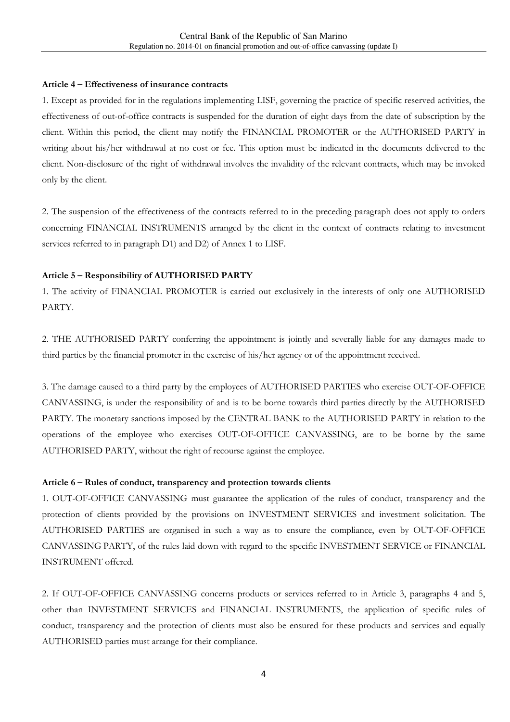#### **Article 4 – Effectiveness of insurance contracts**

1. Except as provided for in the regulations implementing LISF, governing the practice of specific reserved activities, the effectiveness of out-of-office contracts is suspended for the duration of eight days from the date of subscription by the client. Within this period, the client may notify the FINANCIAL PROMOTER or the AUTHORISED PARTY in writing about his/her withdrawal at no cost or fee. This option must be indicated in the documents delivered to the client. Non-disclosure of the right of withdrawal involves the invalidity of the relevant contracts, which may be invoked only by the client.

2. The suspension of the effectiveness of the contracts referred to in the preceding paragraph does not apply to orders concerning FINANCIAL INSTRUMENTS arranged by the client in the context of contracts relating to investment services referred to in paragraph D1) and D2) of Annex 1 to LISF.

#### **Article 5 – Responsibility of AUTHORISED PARTY**

1. The activity of FINANCIAL PROMOTER is carried out exclusively in the interests of only one AUTHORISED PARTY.

2. THE AUTHORISED PARTY conferring the appointment is jointly and severally liable for any damages made to third parties by the financial promoter in the exercise of his/her agency or of the appointment received.

3. The damage caused to a third party by the employees of AUTHORISED PARTIES who exercise OUT-OF-OFFICE CANVASSING, is under the responsibility of and is to be borne towards third parties directly by the AUTHORISED PARTY. The monetary sanctions imposed by the CENTRAL BANK to the AUTHORISED PARTY in relation to the operations of the employee who exercises OUT-OF-OFFICE CANVASSING, are to be borne by the same AUTHORISED PARTY, without the right of recourse against the employee.

#### **Article 6 – Rules of conduct, transparency and protection towards clients**

1. OUT-OF-OFFICE CANVASSING must guarantee the application of the rules of conduct, transparency and the protection of clients provided by the provisions on INVESTMENT SERVICES and investment solicitation. The AUTHORISED PARTIES are organised in such a way as to ensure the compliance, even by OUT-OF-OFFICE CANVASSING PARTY, of the rules laid down with regard to the specific INVESTMENT SERVICE or FINANCIAL INSTRUMENT offered.

2. If OUT-OF-OFFICE CANVASSING concerns products or services referred to in Article 3, paragraphs 4 and 5, other than INVESTMENT SERVICES and FINANCIAL INSTRUMENTS, the application of specific rules of conduct, transparency and the protection of clients must also be ensured for these products and services and equally AUTHORISED parties must arrange for their compliance.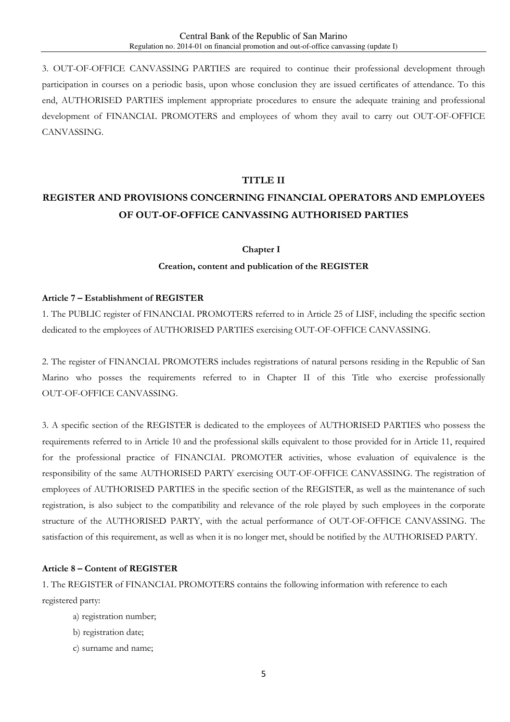3. OUT-OF-OFFICE CANVASSING PARTIES are required to continue their professional development through participation in courses on a periodic basis, upon whose conclusion they are issued certificates of attendance. To this end, AUTHORISED PARTIES implement appropriate procedures to ensure the adequate training and professional development of FINANCIAL PROMOTERS and employees of whom they avail to carry out OUT-OF-OFFICE CANVASSING.

#### **TITLE II**

# **REGISTER AND PROVISIONS CONCERNING FINANCIAL OPERATORS AND EMPLOYEES OF OUT-OF-OFFICE CANVASSING AUTHORISED PARTIES**

#### **Chapter I**

#### **Creation, content and publication of the REGISTER**

#### **Article 7 – Establishment of REGISTER**

1. The PUBLIC register of FINANCIAL PROMOTERS referred to in Article 25 of LISF, including the specific section dedicated to the employees of AUTHORISED PARTIES exercising OUT-OF-OFFICE CANVASSING.

2. The register of FINANCIAL PROMOTERS includes registrations of natural persons residing in the Republic of San Marino who posses the requirements referred to in Chapter II of this Title who exercise professionally OUT-OF-OFFICE CANVASSING.

3. A specific section of the REGISTER is dedicated to the employees of AUTHORISED PARTIES who possess the requirements referred to in Article 10 and the professional skills equivalent to those provided for in Article 11, required for the professional practice of FINANCIAL PROMOTER activities, whose evaluation of equivalence is the responsibility of the same AUTHORISED PARTY exercising OUT-OF-OFFICE CANVASSING. The registration of employees of AUTHORISED PARTIES in the specific section of the REGISTER, as well as the maintenance of such registration, is also subject to the compatibility and relevance of the role played by such employees in the corporate structure of the AUTHORISED PARTY, with the actual performance of OUT-OF-OFFICE CANVASSING. The satisfaction of this requirement, as well as when it is no longer met, should be notified by the AUTHORISED PARTY.

#### **Article 8 – Content of REGISTER**

1. The REGISTER of FINANCIAL PROMOTERS contains the following information with reference to each registered party:

- a) registration number;
- b) registration date;
- c) surname and name;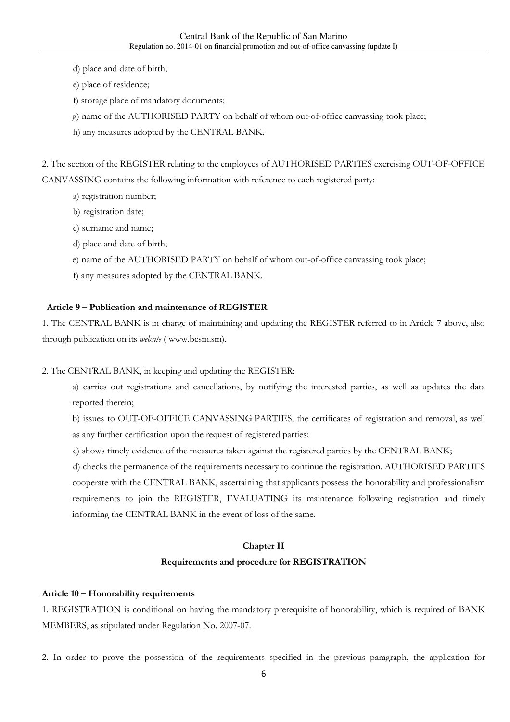- d) place and date of birth;
- e) place of residence;
- f) storage place of mandatory documents;
- g) name of the AUTHORISED PARTY on behalf of whom out-of-office canvassing took place;
- h) any measures adopted by the CENTRAL BANK.

2. The section of the REGISTER relating to the employees of AUTHORISED PARTIES exercising OUT-OF-OFFICE CANVASSING contains the following information with reference to each registered party:

- a) registration number;
- b) registration date;
- c) surname and name;
- d) place and date of birth;
- e) name of the AUTHORISED PARTY on behalf of whom out-of-office canvassing took place;
- f) any measures adopted by the CENTRAL BANK.

#### **Article 9 – Publication and maintenance of REGISTER**

1. The CENTRAL BANK is in charge of maintaining and updating the REGISTER referred to in Article 7 above, also through publication on its *website* ( www.bcsm.sm).

2. The CENTRAL BANK, in keeping and updating the REGISTER:

a) carries out registrations and cancellations, by notifying the interested parties, as well as updates the data reported therein;

b) issues to OUT-OF-OFFICE CANVASSING PARTIES, the certificates of registration and removal, as well as any further certification upon the request of registered parties;

c) shows timely evidence of the measures taken against the registered parties by the CENTRAL BANK;

d) checks the permanence of the requirements necessary to continue the registration. AUTHORISED PARTIES cooperate with the CENTRAL BANK, ascertaining that applicants possess the honorability and professionalism requirements to join the REGISTER, EVALUATING its maintenance following registration and timely informing the CENTRAL BANK in the event of loss of the same.

#### **Chapter II**

#### **Requirements and procedure for REGISTRATION**

#### **Article 10 – Honorability requirements**

1. REGISTRATION is conditional on having the mandatory prerequisite of honorability, which is required of BANK MEMBERS, as stipulated under Regulation No. 2007-07.

2. In order to prove the possession of the requirements specified in the previous paragraph, the application for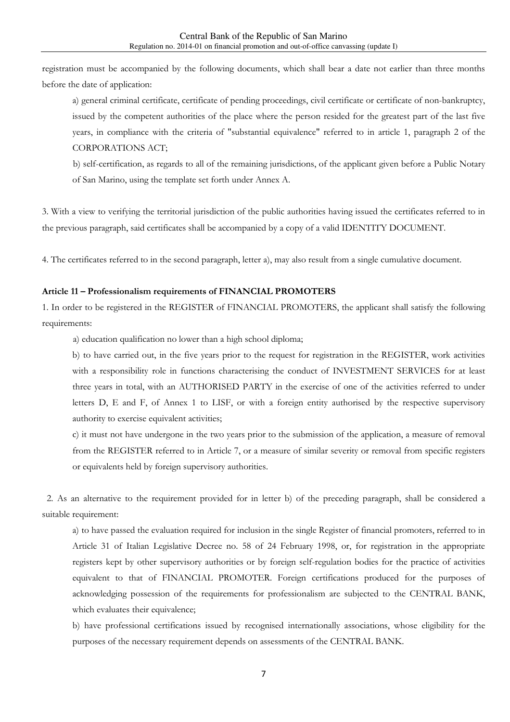registration must be accompanied by the following documents, which shall bear a date not earlier than three months before the date of application:

a) general criminal certificate, certificate of pending proceedings, civil certificate or certificate of non-bankruptcy, issued by the competent authorities of the place where the person resided for the greatest part of the last five years, in compliance with the criteria of "substantial equivalence" referred to in article 1, paragraph 2 of the CORPORATIONS ACT;

b) self-certification, as regards to all of the remaining jurisdictions, of the applicant given before a Public Notary of San Marino, using the template set forth under Annex A.

3. With a view to verifying the territorial jurisdiction of the public authorities having issued the certificates referred to in the previous paragraph, said certificates shall be accompanied by a copy of a valid IDENTITY DOCUMENT.

4. The certificates referred to in the second paragraph, letter a), may also result from a single cumulative document.

#### **Article 11 – Professionalism requirements of FINANCIAL PROMOTERS**

1. In order to be registered in the REGISTER of FINANCIAL PROMOTERS, the applicant shall satisfy the following requirements:

a) education qualification no lower than a high school diploma;

b) to have carried out, in the five years prior to the request for registration in the REGISTER, work activities with a responsibility role in functions characterising the conduct of INVESTMENT SERVICES for at least three years in total, with an AUTHORISED PARTY in the exercise of one of the activities referred to under letters D, E and F, of Annex 1 to LISF, or with a foreign entity authorised by the respective supervisory authority to exercise equivalent activities;

c) it must not have undergone in the two years prior to the submission of the application, a measure of removal from the REGISTER referred to in Article 7, or a measure of similar severity or removal from specific registers or equivalents held by foreign supervisory authorities.

 2. As an alternative to the requirement provided for in letter b) of the preceding paragraph, shall be considered a suitable requirement:

a) to have passed the evaluation required for inclusion in the single Register of financial promoters, referred to in Article 31 of Italian Legislative Decree no. 58 of 24 February 1998, or, for registration in the appropriate registers kept by other supervisory authorities or by foreign self-regulation bodies for the practice of activities equivalent to that of FINANCIAL PROMOTER. Foreign certifications produced for the purposes of acknowledging possession of the requirements for professionalism are subjected to the CENTRAL BANK, which evaluates their equivalence;

b) have professional certifications issued by recognised internationally associations, whose eligibility for the purposes of the necessary requirement depends on assessments of the CENTRAL BANK.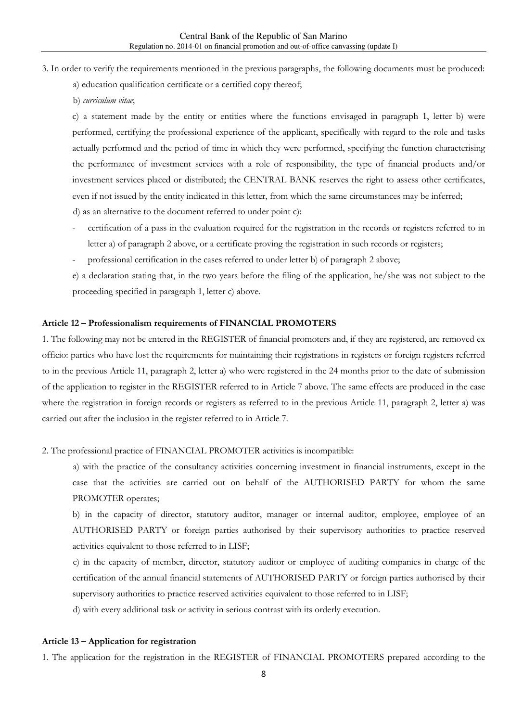- 3. In order to verify the requirements mentioned in the previous paragraphs, the following documents must be produced:
	- a) education qualification certificate or a certified copy thereof;
	- b) *curriculum vitae*;

c) a statement made by the entity or entities where the functions envisaged in paragraph 1, letter b) were performed, certifying the professional experience of the applicant, specifically with regard to the role and tasks actually performed and the period of time in which they were performed, specifying the function characterising the performance of investment services with a role of responsibility, the type of financial products and/or investment services placed or distributed; the CENTRAL BANK reserves the right to assess other certificates, even if not issued by the entity indicated in this letter, from which the same circumstances may be inferred;

- d) as an alternative to the document referred to under point c):
- certification of a pass in the evaluation required for the registration in the records or registers referred to in letter a) of paragraph 2 above, or a certificate proving the registration in such records or registers;
- professional certification in the cases referred to under letter b) of paragraph 2 above;

e) a declaration stating that, in the two years before the filing of the application, he/she was not subject to the proceeding specified in paragraph 1, letter c) above.

#### **Article 12 – Professionalism requirements of FINANCIAL PROMOTERS**

1. The following may not be entered in the REGISTER of financial promoters and, if they are registered, are removed ex officio: parties who have lost the requirements for maintaining their registrations in registers or foreign registers referred to in the previous Article 11, paragraph 2, letter a) who were registered in the 24 months prior to the date of submission of the application to register in the REGISTER referred to in Article 7 above. The same effects are produced in the case where the registration in foreign records or registers as referred to in the previous Article 11, paragraph 2, letter a) was carried out after the inclusion in the register referred to in Article 7.

2. The professional practice of FINANCIAL PROMOTER activities is incompatible:

a) with the practice of the consultancy activities concerning investment in financial instruments, except in the case that the activities are carried out on behalf of the AUTHORISED PARTY for whom the same PROMOTER operates;

b) in the capacity of director, statutory auditor, manager or internal auditor, employee, employee of an AUTHORISED PARTY or foreign parties authorised by their supervisory authorities to practice reserved activities equivalent to those referred to in LISF;

c) in the capacity of member, director, statutory auditor or employee of auditing companies in charge of the certification of the annual financial statements of AUTHORISED PARTY or foreign parties authorised by their supervisory authorities to practice reserved activities equivalent to those referred to in LISF;

d) with every additional task or activity in serious contrast with its orderly execution.

#### **Article 13 – Application for registration**

1. The application for the registration in the REGISTER of FINANCIAL PROMOTERS prepared according to the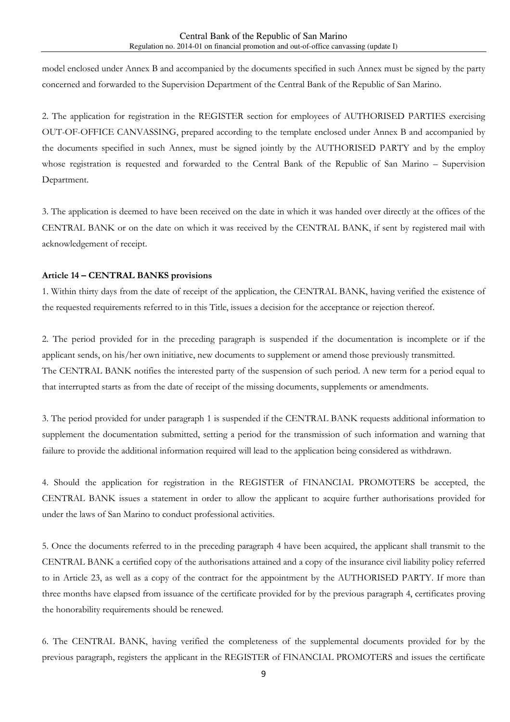model enclosed under Annex B and accompanied by the documents specified in such Annex must be signed by the party concerned and forwarded to the Supervision Department of the Central Bank of the Republic of San Marino.

2. The application for registration in the REGISTER section for employees of AUTHORISED PARTIES exercising OUT-OF-OFFICE CANVASSING, prepared according to the template enclosed under Annex B and accompanied by the documents specified in such Annex, must be signed jointly by the AUTHORISED PARTY and by the employ whose registration is requested and forwarded to the Central Bank of the Republic of San Marino – Supervision Department.

3. The application is deemed to have been received on the date in which it was handed over directly at the offices of the CENTRAL BANK or on the date on which it was received by the CENTRAL BANK, if sent by registered mail with acknowledgement of receipt.

#### **Article 14 – CENTRAL BANKS provisions**

1. Within thirty days from the date of receipt of the application, the CENTRAL BANK, having verified the existence of the requested requirements referred to in this Title, issues a decision for the acceptance or rejection thereof.

2. The period provided for in the preceding paragraph is suspended if the documentation is incomplete or if the applicant sends, on his/her own initiative, new documents to supplement or amend those previously transmitted. The CENTRAL BANK notifies the interested party of the suspension of such period. A new term for a period equal to that interrupted starts as from the date of receipt of the missing documents, supplements or amendments.

3. The period provided for under paragraph 1 is suspended if the CENTRAL BANK requests additional information to supplement the documentation submitted, setting a period for the transmission of such information and warning that failure to provide the additional information required will lead to the application being considered as withdrawn.

4. Should the application for registration in the REGISTER of FINANCIAL PROMOTERS be accepted, the CENTRAL BANK issues a statement in order to allow the applicant to acquire further authorisations provided for under the laws of San Marino to conduct professional activities.

5. Once the documents referred to in the preceding paragraph 4 have been acquired, the applicant shall transmit to the CENTRAL BANK a certified copy of the authorisations attained and a copy of the insurance civil liability policy referred to in Article 23, as well as a copy of the contract for the appointment by the AUTHORISED PARTY. If more than three months have elapsed from issuance of the certificate provided for by the previous paragraph 4, certificates proving the honorability requirements should be renewed.

6. The CENTRAL BANK, having verified the completeness of the supplemental documents provided for by the previous paragraph, registers the applicant in the REGISTER of FINANCIAL PROMOTERS and issues the certificate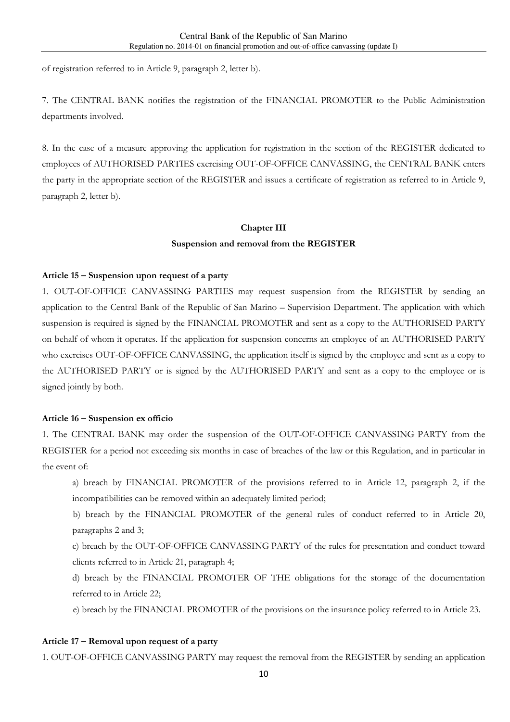of registration referred to in Article 9, paragraph 2, letter b).

7. The CENTRAL BANK notifies the registration of the FINANCIAL PROMOTER to the Public Administration departments involved.

8. In the case of a measure approving the application for registration in the section of the REGISTER dedicated to employees of AUTHORISED PARTIES exercising OUT-OF-OFFICE CANVASSING, the CENTRAL BANK enters the party in the appropriate section of the REGISTER and issues a certificate of registration as referred to in Article 9, paragraph 2, letter b).

### **Chapter III Suspension and removal from the REGISTER**

#### **Article 15 – Suspension upon request of a party**

1. OUT-OF-OFFICE CANVASSING PARTIES may request suspension from the REGISTER by sending an application to the Central Bank of the Republic of San Marino – Supervision Department. The application with which suspension is required is signed by the FINANCIAL PROMOTER and sent as a copy to the AUTHORISED PARTY on behalf of whom it operates. If the application for suspension concerns an employee of an AUTHORISED PARTY who exercises OUT-OF-OFFICE CANVASSING, the application itself is signed by the employee and sent as a copy to the AUTHORISED PARTY or is signed by the AUTHORISED PARTY and sent as a copy to the employee or is signed jointly by both.

#### **Article 16 – Suspension ex officio**

1. The CENTRAL BANK may order the suspension of the OUT-OF-OFFICE CANVASSING PARTY from the REGISTER for a period not exceeding six months in case of breaches of the law or this Regulation, and in particular in the event of:

a) breach by FINANCIAL PROMOTER of the provisions referred to in Article 12, paragraph 2, if the incompatibilities can be removed within an adequately limited period;

b) breach by the FINANCIAL PROMOTER of the general rules of conduct referred to in Article 20, paragraphs 2 and 3;

c) breach by the OUT-OF-OFFICE CANVASSING PARTY of the rules for presentation and conduct toward clients referred to in Article 21, paragraph 4;

d) breach by the FINANCIAL PROMOTER OF THE obligations for the storage of the documentation referred to in Article 22;

e) breach by the FINANCIAL PROMOTER of the provisions on the insurance policy referred to in Article 23.

#### **Article 17 – Removal upon request of a party**

1. OUT-OF-OFFICE CANVASSING PARTY may request the removal from the REGISTER by sending an application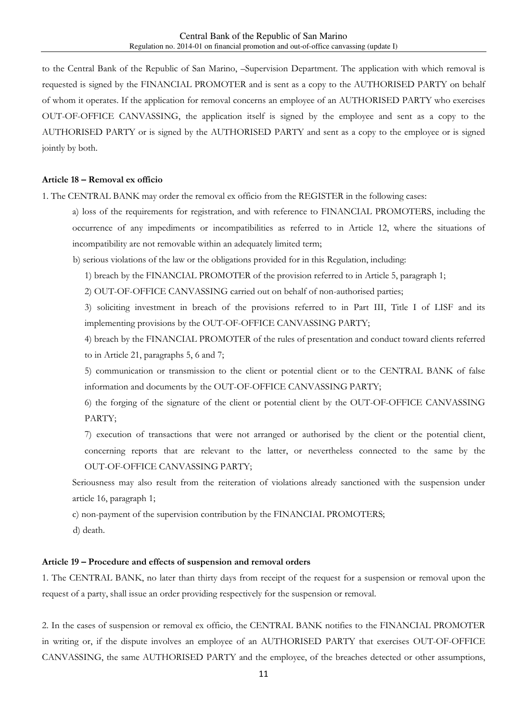to the Central Bank of the Republic of San Marino, –Supervision Department. The application with which removal is requested is signed by the FINANCIAL PROMOTER and is sent as a copy to the AUTHORISED PARTY on behalf of whom it operates. If the application for removal concerns an employee of an AUTHORISED PARTY who exercises OUT-OF-OFFICE CANVASSING, the application itself is signed by the employee and sent as a copy to the AUTHORISED PARTY or is signed by the AUTHORISED PARTY and sent as a copy to the employee or is signed jointly by both.

#### **Article 18 – Removal ex officio**

1. The CENTRAL BANK may order the removal ex officio from the REGISTER in the following cases:

- a) loss of the requirements for registration, and with reference to FINANCIAL PROMOTERS, including the occurrence of any impediments or incompatibilities as referred to in Article 12, where the situations of incompatibility are not removable within an adequately limited term;
- b) serious violations of the law or the obligations provided for in this Regulation, including:
	- 1) breach by the FINANCIAL PROMOTER of the provision referred to in Article 5, paragraph 1;
	- 2) OUT-OF-OFFICE CANVASSING carried out on behalf of non-authorised parties;

3) soliciting investment in breach of the provisions referred to in Part III, Title I of LISF and its implementing provisions by the OUT-OF-OFFICE CANVASSING PARTY;

4) breach by the FINANCIAL PROMOTER of the rules of presentation and conduct toward clients referred to in Article 21, paragraphs 5, 6 and 7;

5) communication or transmission to the client or potential client or to the CENTRAL BANK of false information and documents by the OUT-OF-OFFICE CANVASSING PARTY;

6) the forging of the signature of the client or potential client by the OUT-OF-OFFICE CANVASSING PARTY;

7) execution of transactions that were not arranged or authorised by the client or the potential client, concerning reports that are relevant to the latter, or nevertheless connected to the same by the OUT-OF-OFFICE CANVASSING PARTY;

Seriousness may also result from the reiteration of violations already sanctioned with the suspension under article 16, paragraph 1;

c) non-payment of the supervision contribution by the FINANCIAL PROMOTERS;

d) death.

#### **Article 19 – Procedure and effects of suspension and removal orders**

1. The CENTRAL BANK, no later than thirty days from receipt of the request for a suspension or removal upon the request of a party, shall issue an order providing respectively for the suspension or removal.

2. In the cases of suspension or removal ex officio, the CENTRAL BANK notifies to the FINANCIAL PROMOTER in writing or, if the dispute involves an employee of an AUTHORISED PARTY that exercises OUT-OF-OFFICE CANVASSING, the same AUTHORISED PARTY and the employee, of the breaches detected or other assumptions,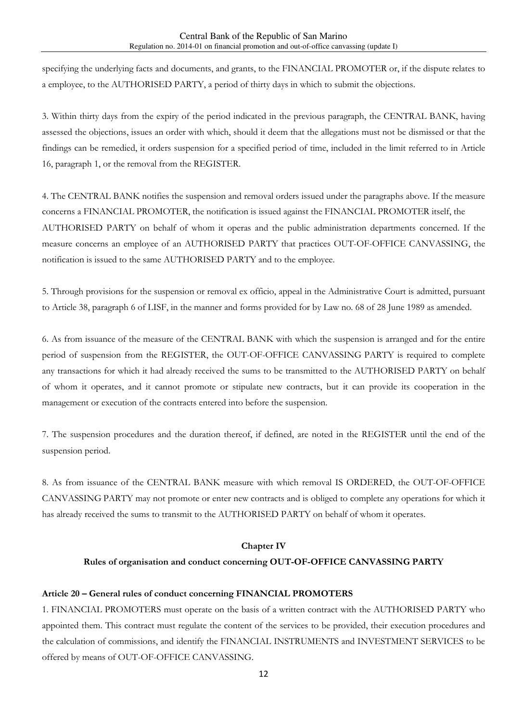specifying the underlying facts and documents, and grants, to the FINANCIAL PROMOTER or, if the dispute relates to a employee, to the AUTHORISED PARTY, a period of thirty days in which to submit the objections.

3. Within thirty days from the expiry of the period indicated in the previous paragraph, the CENTRAL BANK, having assessed the objections, issues an order with which, should it deem that the allegations must not be dismissed or that the findings can be remedied, it orders suspension for a specified period of time, included in the limit referred to in Article 16, paragraph 1, or the removal from the REGISTER.

4. The CENTRAL BANK notifies the suspension and removal orders issued under the paragraphs above. If the measure concerns a FINANCIAL PROMOTER, the notification is issued against the FINANCIAL PROMOTER itself, the AUTHORISED PARTY on behalf of whom it operas and the public administration departments concerned. If the measure concerns an employee of an AUTHORISED PARTY that practices OUT-OF-OFFICE CANVASSING, the notification is issued to the same AUTHORISED PARTY and to the employee.

5. Through provisions for the suspension or removal ex officio, appeal in the Administrative Court is admitted, pursuant to Article 38, paragraph 6 of LISF, in the manner and forms provided for by Law no. 68 of 28 June 1989 as amended.

6. As from issuance of the measure of the CENTRAL BANK with which the suspension is arranged and for the entire period of suspension from the REGISTER, the OUT-OF-OFFICE CANVASSING PARTY is required to complete any transactions for which it had already received the sums to be transmitted to the AUTHORISED PARTY on behalf of whom it operates, and it cannot promote or stipulate new contracts, but it can provide its cooperation in the management or execution of the contracts entered into before the suspension.

7. The suspension procedures and the duration thereof, if defined, are noted in the REGISTER until the end of the suspension period.

8. As from issuance of the CENTRAL BANK measure with which removal IS ORDERED, the OUT-OF-OFFICE CANVASSING PARTY may not promote or enter new contracts and is obliged to complete any operations for which it has already received the sums to transmit to the AUTHORISED PARTY on behalf of whom it operates.

#### **Chapter IV**

#### **Rules of organisation and conduct concerning OUT-OF-OFFICE CANVASSING PARTY**

#### **Article 20 – General rules of conduct concerning FINANCIAL PROMOTERS**

1. FINANCIAL PROMOTERS must operate on the basis of a written contract with the AUTHORISED PARTY who appointed them. This contract must regulate the content of the services to be provided, their execution procedures and the calculation of commissions, and identify the FINANCIAL INSTRUMENTS and INVESTMENT SERVICES to be offered by means of OUT-OF-OFFICE CANVASSING.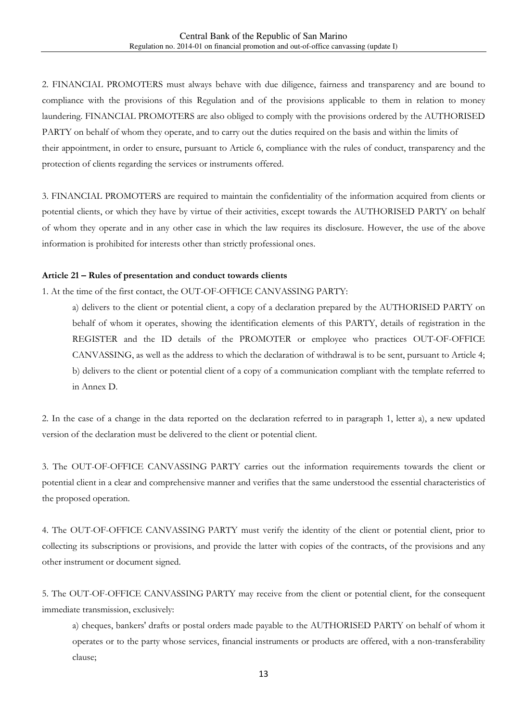2. FINANCIAL PROMOTERS must always behave with due diligence, fairness and transparency and are bound to compliance with the provisions of this Regulation and of the provisions applicable to them in relation to money laundering. FINANCIAL PROMOTERS are also obliged to comply with the provisions ordered by the AUTHORISED PARTY on behalf of whom they operate, and to carry out the duties required on the basis and within the limits of their appointment, in order to ensure, pursuant to Article 6, compliance with the rules of conduct, transparency and the protection of clients regarding the services or instruments offered.

3. FINANCIAL PROMOTERS are required to maintain the confidentiality of the information acquired from clients or potential clients, or which they have by virtue of their activities, except towards the AUTHORISED PARTY on behalf of whom they operate and in any other case in which the law requires its disclosure. However, the use of the above information is prohibited for interests other than strictly professional ones.

#### **Article 21 – Rules of presentation and conduct towards clients**

1. At the time of the first contact, the OUT-OF-OFFICE CANVASSING PARTY:

a) delivers to the client or potential client, a copy of a declaration prepared by the AUTHORISED PARTY on behalf of whom it operates, showing the identification elements of this PARTY, details of registration in the REGISTER and the ID details of the PROMOTER or employee who practices OUT-OF-OFFICE CANVASSING, as well as the address to which the declaration of withdrawal is to be sent, pursuant to Article 4; b) delivers to the client or potential client of a copy of a communication compliant with the template referred to in Annex D.

2. In the case of a change in the data reported on the declaration referred to in paragraph 1, letter a), a new updated version of the declaration must be delivered to the client or potential client.

3. The OUT-OF-OFFICE CANVASSING PARTY carries out the information requirements towards the client or potential client in a clear and comprehensive manner and verifies that the same understood the essential characteristics of the proposed operation.

4. The OUT-OF-OFFICE CANVASSING PARTY must verify the identity of the client or potential client, prior to collecting its subscriptions or provisions, and provide the latter with copies of the contracts, of the provisions and any other instrument or document signed.

5. The OUT-OF-OFFICE CANVASSING PARTY may receive from the client or potential client, for the consequent immediate transmission, exclusively:

a) cheques, bankers' drafts or postal orders made payable to the AUTHORISED PARTY on behalf of whom it operates or to the party whose services, financial instruments or products are offered, with a non-transferability clause;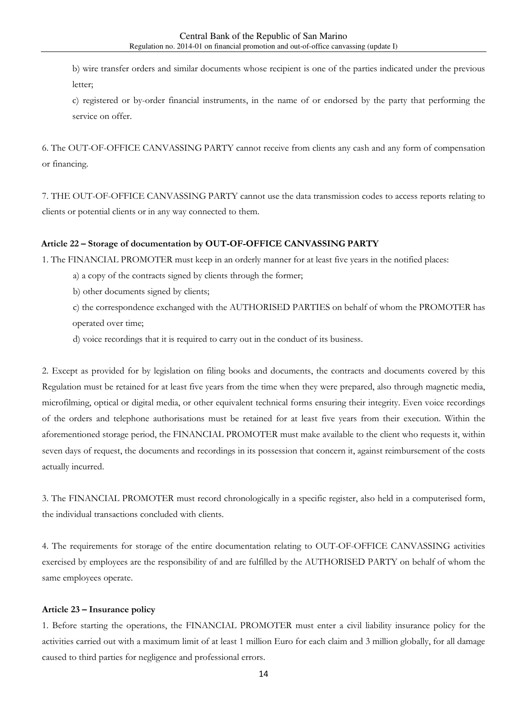b) wire transfer orders and similar documents whose recipient is one of the parties indicated under the previous letter;

c) registered or by-order financial instruments, in the name of or endorsed by the party that performing the service on offer.

6. The OUT-OF-OFFICE CANVASSING PARTY cannot receive from clients any cash and any form of compensation or financing.

7. THE OUT-OF-OFFICE CANVASSING PARTY cannot use the data transmission codes to access reports relating to clients or potential clients or in any way connected to them.

#### **Article 22 – Storage of documentation by OUT-OF-OFFICE CANVASSING PARTY**

1. The FINANCIAL PROMOTER must keep in an orderly manner for at least five years in the notified places:

a) a copy of the contracts signed by clients through the former;

b) other documents signed by clients;

c) the correspondence exchanged with the AUTHORISED PARTIES on behalf of whom the PROMOTER has operated over time;

d) voice recordings that it is required to carry out in the conduct of its business.

2. Except as provided for by legislation on filing books and documents, the contracts and documents covered by this Regulation must be retained for at least five years from the time when they were prepared, also through magnetic media, microfilming, optical or digital media, or other equivalent technical forms ensuring their integrity. Even voice recordings of the orders and telephone authorisations must be retained for at least five years from their execution. Within the aforementioned storage period, the FINANCIAL PROMOTER must make available to the client who requests it, within seven days of request, the documents and recordings in its possession that concern it, against reimbursement of the costs actually incurred.

3. The FINANCIAL PROMOTER must record chronologically in a specific register, also held in a computerised form, the individual transactions concluded with clients.

4. The requirements for storage of the entire documentation relating to OUT-OF-OFFICE CANVASSING activities exercised by employees are the responsibility of and are fulfilled by the AUTHORISED PARTY on behalf of whom the same employees operate.

#### **Article 23 – Insurance policy**

1. Before starting the operations, the FINANCIAL PROMOTER must enter a civil liability insurance policy for the activities carried out with a maximum limit of at least 1 million Euro for each claim and 3 million globally, for all damage caused to third parties for negligence and professional errors.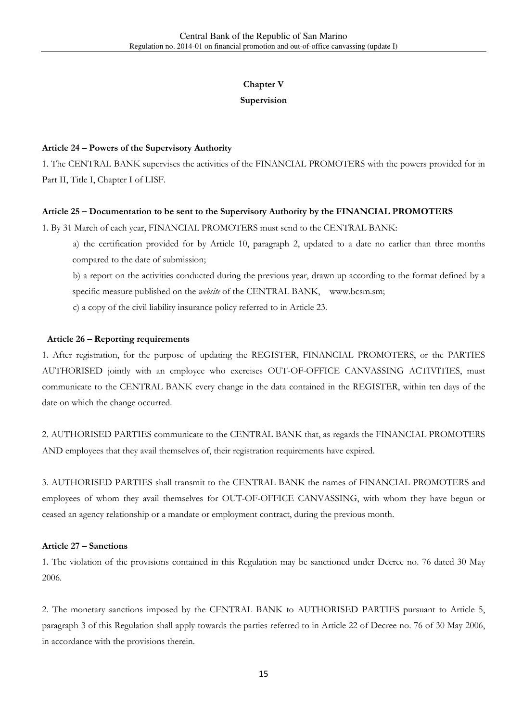# **Chapter V**

#### **Supervision**

#### **Article 24 – Powers of the Supervisory Authority**

1. The CENTRAL BANK supervises the activities of the FINANCIAL PROMOTERS with the powers provided for in Part II, Title I, Chapter I of LISF.

#### **Article 25 – Documentation to be sent to the Supervisory Authority by the FINANCIAL PROMOTERS**

1. By 31 March of each year, FINANCIAL PROMOTERS must send to the CENTRAL BANK:

a) the certification provided for by Article 10, paragraph 2, updated to a date no earlier than three months compared to the date of submission;

b) a report on the activities conducted during the previous year, drawn up according to the format defined by a specific measure published on the *website* of the CENTRAL BANK, www.bcsm.sm;

c) a copy of the civil liability insurance policy referred to in Article 23.

#### **Article 26 – Reporting requirements**

1. After registration, for the purpose of updating the REGISTER, FINANCIAL PROMOTERS, or the PARTIES AUTHORISED jointly with an employee who exercises OUT-OF-OFFICE CANVASSING ACTIVITIES, must communicate to the CENTRAL BANK every change in the data contained in the REGISTER, within ten days of the date on which the change occurred.

2. AUTHORISED PARTIES communicate to the CENTRAL BANK that, as regards the FINANCIAL PROMOTERS AND employees that they avail themselves of, their registration requirements have expired.

3. AUTHORISED PARTIES shall transmit to the CENTRAL BANK the names of FINANCIAL PROMOTERS and employees of whom they avail themselves for OUT-OF-OFFICE CANVASSING, with whom they have begun or ceased an agency relationship or a mandate or employment contract, during the previous month.

#### **Article 27 – Sanctions**

1. The violation of the provisions contained in this Regulation may be sanctioned under Decree no. 76 dated 30 May 2006.

2. The monetary sanctions imposed by the CENTRAL BANK to AUTHORISED PARTIES pursuant to Article 5, paragraph 3 of this Regulation shall apply towards the parties referred to in Article 22 of Decree no. 76 of 30 May 2006, in accordance with the provisions therein.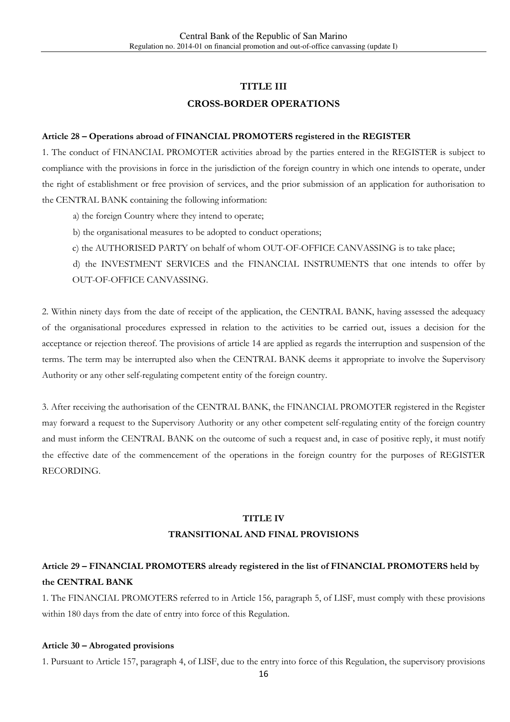# **TITLE III CROSS-BORDER OPERATIONS**

#### **Article 28 – Operations abroad of FINANCIAL PROMOTERS registered in the REGISTER**

1. The conduct of FINANCIAL PROMOTER activities abroad by the parties entered in the REGISTER is subject to compliance with the provisions in force in the jurisdiction of the foreign country in which one intends to operate, under the right of establishment or free provision of services, and the prior submission of an application for authorisation to the CENTRAL BANK containing the following information:

- a) the foreign Country where they intend to operate;
- b) the organisational measures to be adopted to conduct operations;
- c) the AUTHORISED PARTY on behalf of whom OUT-OF-OFFICE CANVASSING is to take place;

d) the INVESTMENT SERVICES and the FINANCIAL INSTRUMENTS that one intends to offer by OUT-OF-OFFICE CANVASSING.

2. Within ninety days from the date of receipt of the application, the CENTRAL BANK, having assessed the adequacy of the organisational procedures expressed in relation to the activities to be carried out, issues a decision for the acceptance or rejection thereof. The provisions of article 14 are applied as regards the interruption and suspension of the terms. The term may be interrupted also when the CENTRAL BANK deems it appropriate to involve the Supervisory Authority or any other self-regulating competent entity of the foreign country.

3. After receiving the authorisation of the CENTRAL BANK, the FINANCIAL PROMOTER registered in the Register may forward a request to the Supervisory Authority or any other competent self-regulating entity of the foreign country and must inform the CENTRAL BANK on the outcome of such a request and, in case of positive reply, it must notify the effective date of the commencement of the operations in the foreign country for the purposes of REGISTER RECORDING.

#### **TITLE IV**

#### **TRANSITIONAL AND FINAL PROVISIONS**

### **Article 29 – FINANCIAL PROMOTERS already registered in the list of FINANCIAL PROMOTERS held by the CENTRAL BANK**

1. The FINANCIAL PROMOTERS referred to in Article 156, paragraph 5, of LISF, must comply with these provisions within 180 days from the date of entry into force of this Regulation.

#### **Article 30 – Abrogated provisions**

1. Pursuant to Article 157, paragraph 4, of LISF, due to the entry into force of this Regulation, the supervisory provisions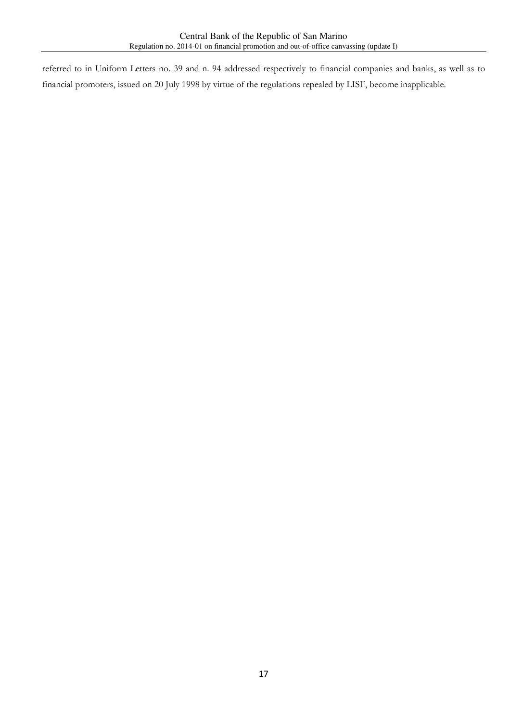referred to in Uniform Letters no. 39 and n. 94 addressed respectively to financial companies and banks, as well as to financial promoters, issued on 20 July 1998 by virtue of the regulations repealed by LISF, become inapplicable.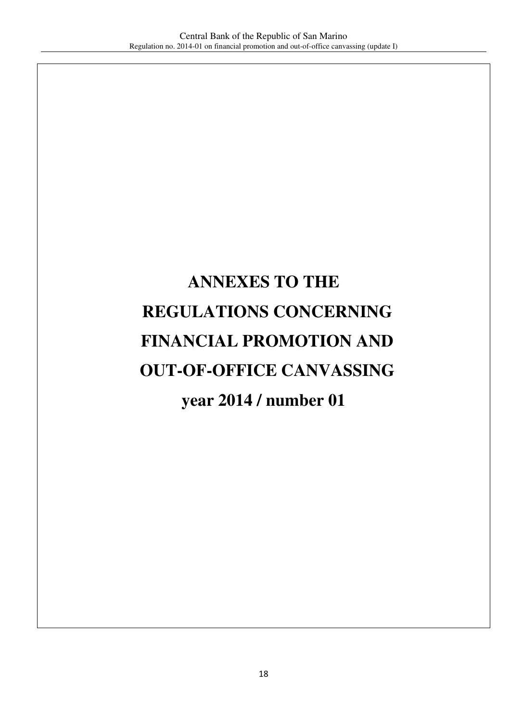# **ANNEXES TO THE REGULATIONS CONCERNING FINANCIAL PROMOTION AND OUT-OF-OFFICE CANVASSING year 2014 / number 01**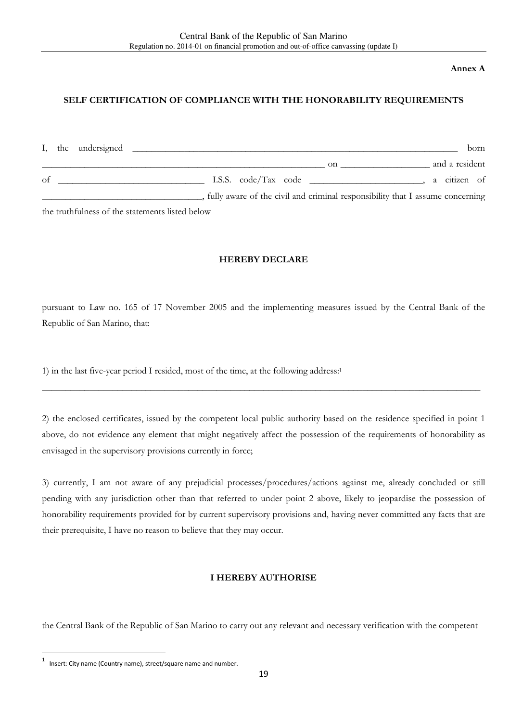#### **Annex A**

#### **SELF CERTIFICATION OF COMPLIANCE WITH THE HONORABILITY REQUIREMENTS**

|    | I, the undersigned                               |                                                                               | born           |
|----|--------------------------------------------------|-------------------------------------------------------------------------------|----------------|
|    |                                                  | <sub>on</sub>                                                                 | and a resident |
| of |                                                  |                                                                               | a citizen of   |
|    |                                                  | fully aware of the civil and criminal responsibility that I assume concerning |                |
|    | $1.1$ $1.21$ $2.1$ $2.1$ $2.1$ $2.1$ $2.1$ $2.1$ |                                                                               |                |

the truthfulness of the statements listed below

#### **HEREBY DECLARE**

pursuant to Law no. 165 of 17 November 2005 and the implementing measures issued by the Central Bank of the Republic of San Marino, that:

1) in the last five-year period I resided, most of the time, at the following address:<sup>1</sup>

2) the enclosed certificates, issued by the competent local public authority based on the residence specified in point 1 above, do not evidence any element that might negatively affect the possession of the requirements of honorability as envisaged in the supervisory provisions currently in force;

\_\_\_\_\_\_\_\_\_\_\_\_\_\_\_\_\_\_\_\_\_\_\_\_\_\_\_\_\_\_\_\_\_\_\_\_\_\_\_\_\_\_\_\_\_\_\_\_\_\_\_\_\_\_\_\_\_\_\_\_\_\_\_\_\_\_\_\_\_\_\_\_\_\_\_\_\_\_\_\_\_\_\_\_\_\_\_\_\_\_\_\_\_

3) currently, I am not aware of any prejudicial processes/procedures/actions against me, already concluded or still pending with any jurisdiction other than that referred to under point 2 above, likely to jeopardise the possession of honorability requirements provided for by current supervisory provisions and, having never committed any facts that are their prerequisite, I have no reason to believe that they may occur.

#### **I HEREBY AUTHORISE**

the Central Bank of the Republic of San Marino to carry out any relevant and necessary verification with the competent

 $\overline{\phantom{a}}$ 

<sup>1</sup> Insert: City name (Country name), street/square name and number.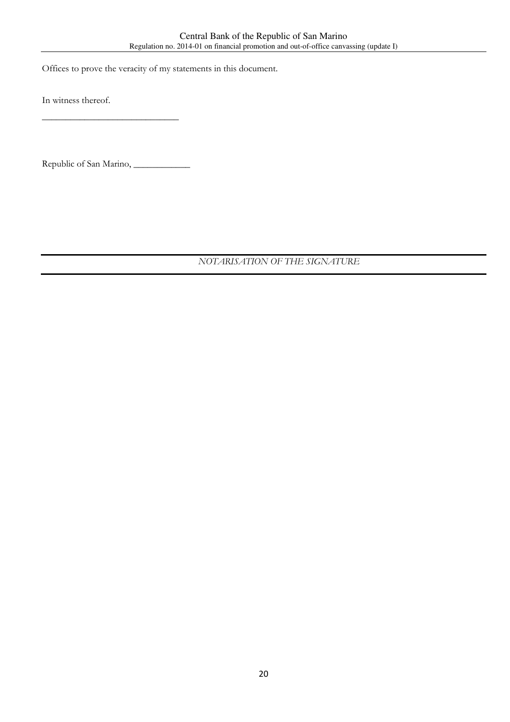Offices to prove the veracity of my statements in this document.

In witness thereof.

Republic of San Marino, \_\_\_\_\_\_\_\_\_\_\_\_

 $\frac{1}{2}$  ,  $\frac{1}{2}$  ,  $\frac{1}{2}$  ,  $\frac{1}{2}$  ,  $\frac{1}{2}$  ,  $\frac{1}{2}$  ,  $\frac{1}{2}$  ,  $\frac{1}{2}$  ,  $\frac{1}{2}$  ,  $\frac{1}{2}$  ,  $\frac{1}{2}$  ,  $\frac{1}{2}$  ,  $\frac{1}{2}$  ,  $\frac{1}{2}$  ,  $\frac{1}{2}$  ,  $\frac{1}{2}$  ,  $\frac{1}{2}$  ,  $\frac{1}{2}$  ,  $\frac{1$ 

 *NOTARISATION OF THE SIGNATURE*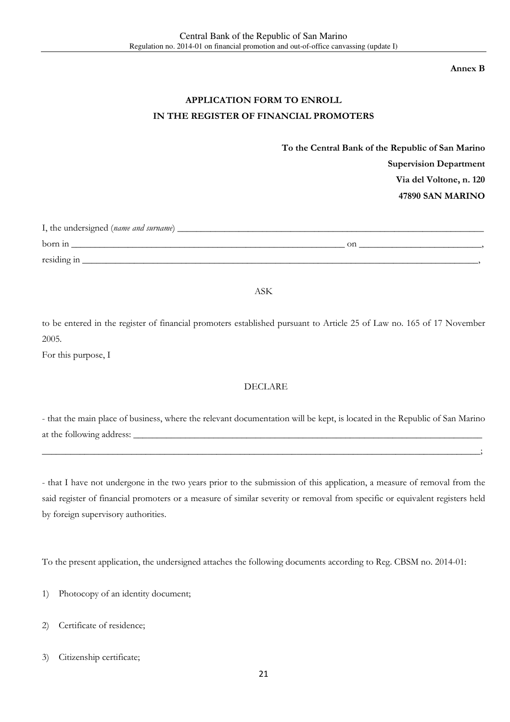**Annex B** 

## **APPLICATION FORM TO ENROLL IN THE REGISTER OF FINANCIAL PROMOTERS**

**To the Central Bank of the Republic of San Marino Supervision Department Via del Voltone, n. 120 47890 SAN MARINO** 

| I, the undersigned (name and surname) |    |  |  |  |
|---------------------------------------|----|--|--|--|
| born in                               | on |  |  |  |
| residing in                           |    |  |  |  |

ASK

to be entered in the register of financial promoters established pursuant to Article 25 of Law no. 165 of 17 November 2005.

For this purpose, I

#### DECLARE

- that the main place of business, where the relevant documentation will be kept, is located in the Republic of San Marino at the following address:

\_\_\_\_\_\_\_\_\_\_\_\_\_\_\_\_\_\_\_\_\_\_\_\_\_\_\_\_\_\_\_\_\_\_\_\_\_\_\_\_\_\_\_\_\_\_\_\_\_\_\_\_\_\_\_\_\_\_\_\_\_\_\_\_\_\_\_\_\_\_\_\_\_\_\_\_\_\_\_\_\_\_\_\_\_\_\_\_\_\_\_\_\_;

- that I have not undergone in the two years prior to the submission of this application, a measure of removal from the said register of financial promoters or a measure of similar severity or removal from specific or equivalent registers held by foreign supervisory authorities.

To the present application, the undersigned attaches the following documents according to Reg. CBSM no. 2014-01:

1) Photocopy of an identity document;

2) Certificate of residence;

3) Citizenship certificate;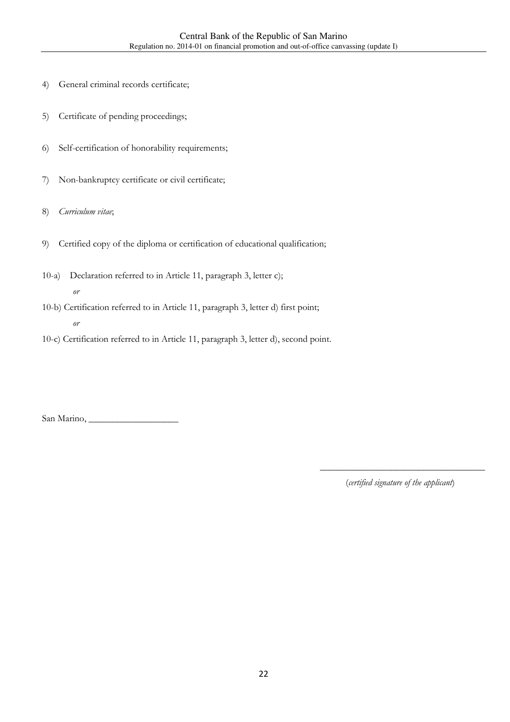- 4) General criminal records certificate;
- 5) Certificate of pending proceedings;
- 6) Self-certification of honorability requirements;
- 7) Non-bankruptcy certificate or civil certificate;
- 8) *Curriculum vitae*;
- 9) Certified copy of the diploma or certification of educational qualification;
- 10-a) Declaration referred to in Article 11, paragraph 3, letter c); *or*
- 10-b) Certification referred to in Article 11, paragraph 3, letter d) first point; *or*
- 10-c) Certification referred to in Article 11, paragraph 3, letter d), second point.

San Marino, \_\_\_\_\_\_\_\_\_\_\_\_\_\_\_\_\_\_\_

(*certified signature of the applicant*)

\_\_\_\_\_\_\_\_\_\_\_\_\_\_\_\_\_\_\_\_\_\_\_\_\_\_\_\_\_\_\_\_\_\_\_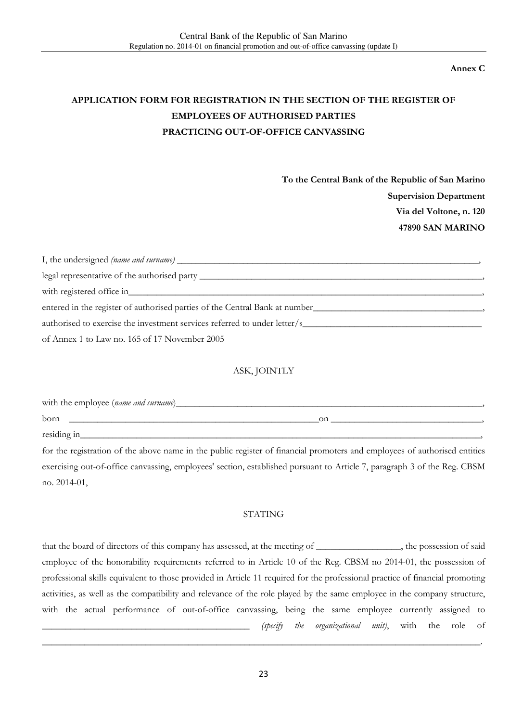**Annex C** 

# **APPLICATION FORM FOR REGISTRATION IN THE SECTION OF THE REGISTER OF EMPLOYEES OF AUTHORISED PARTIES PRACTICING OUT-OF-OFFICE CANVASSING**

**To the Central Bank of the Republic of San Marino Supervision Department Via del Voltone, n. 120 47890 SAN MARINO** 

| legal representative of the authorised party                                |  |  |
|-----------------------------------------------------------------------------|--|--|
| with registered office in with registered office in                         |  |  |
| entered in the register of authorised parties of the Central Bank at number |  |  |
| authorised to exercise the investment services referred to under letter/s   |  |  |
| of Annex 1 to Law no. 165 of 17 November 2005                               |  |  |

#### ASK, JOINTLY

| with the employee (name and surname)_ |    |  |  |  |  |
|---------------------------------------|----|--|--|--|--|
| born                                  | on |  |  |  |  |
| residing in                           |    |  |  |  |  |

for the registration of the above name in the public register of financial promoters and employees of authorised entities exercising out-of-office canvassing, employees' section, established pursuant to Article 7, paragraph 3 of the Reg. CBSM no. 2014-01,

#### STATING

that the board of directors of this company has assessed, at the meeting of \_\_\_\_\_\_\_\_\_\_\_\_\_, the possession of said employee of the honorability requirements referred to in Article 10 of the Reg. CBSM no 2014-01, the possession of professional skills equivalent to those provided in Article 11 required for the professional practice of financial promoting activities, as well as the compatibility and relevance of the role played by the same employee in the company structure, with the actual performance of out-of-office canvassing, being the same employee currently assigned to \_\_\_\_\_\_\_\_\_\_\_\_\_\_\_\_\_\_\_\_\_\_\_\_\_\_\_\_\_\_\_\_\_\_\_\_\_\_\_\_\_\_\_\_ *(specify the organizational unit)*, with the role of

\_\_\_\_\_\_\_\_\_\_\_\_\_\_\_\_\_\_\_\_\_\_\_\_\_\_\_\_\_\_\_\_\_\_\_\_\_\_\_\_\_\_\_\_\_\_\_\_\_\_\_\_\_\_\_\_\_\_\_\_\_\_\_\_\_\_\_\_\_\_\_\_\_\_\_\_\_\_\_\_\_\_\_\_\_\_\_\_\_\_\_\_\_.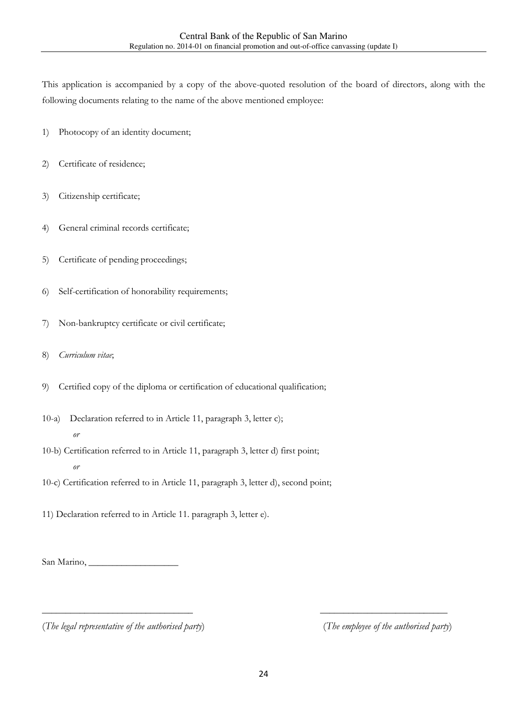This application is accompanied by a copy of the above-quoted resolution of the board of directors, along with the following documents relating to the name of the above mentioned employee:

- 1) Photocopy of an identity document;
- 2) Certificate of residence;
- 3) Citizenship certificate;
- 4) General criminal records certificate;
- 5) Certificate of pending proceedings;
- 6) Self-certification of honorability requirements;
- 7) Non-bankruptcy certificate or civil certificate;
- 8) *Curriculum vitae*;
- 9) Certified copy of the diploma or certification of educational qualification;
- 10-a) Declaration referred to in Article 11, paragraph 3, letter c); *or*
- 10-b) Certification referred to in Article 11, paragraph 3, letter d) first point; *or*

10-c) Certification referred to in Article 11, paragraph 3, letter d), second point;

11) Declaration referred to in Article 11. paragraph 3, letter e).

San Marino, \_\_\_\_\_\_\_\_\_\_\_\_\_\_\_\_\_\_\_

(*The legal representative of the authorised party*) (*The employee of the authorised party*)

\_\_\_\_\_\_\_\_\_\_\_\_\_\_\_\_\_\_\_\_\_\_\_\_\_\_\_\_\_\_\_\_ \_\_\_\_\_\_\_\_\_\_\_\_\_\_\_\_\_\_\_\_\_\_\_\_\_\_\_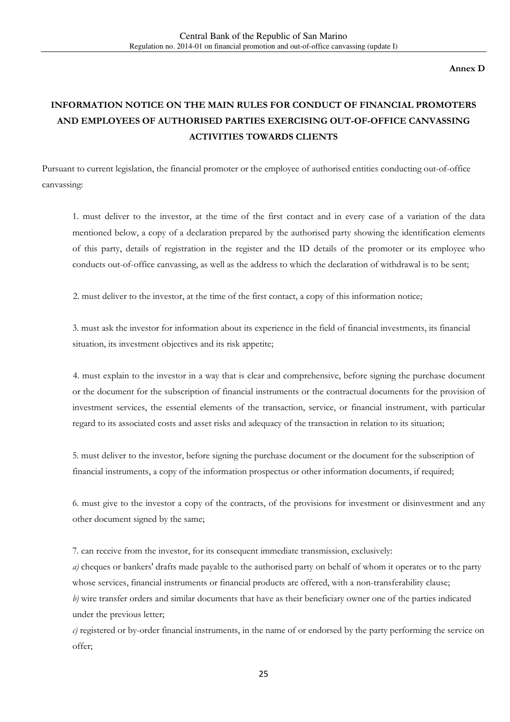**Annex D** 

# **INFORMATION NOTICE ON THE MAIN RULES FOR CONDUCT OF FINANCIAL PROMOTERS AND EMPLOYEES OF AUTHORISED PARTIES EXERCISING OUT-OF-OFFICE CANVASSING ACTIVITIES TOWARDS CLIENTS**

Pursuant to current legislation, the financial promoter or the employee of authorised entities conducting out-of-office canvassing:

1. must deliver to the investor, at the time of the first contact and in every case of a variation of the data mentioned below, a copy of a declaration prepared by the authorised party showing the identification elements of this party, details of registration in the register and the ID details of the promoter or its employee who conducts out-of-office canvassing, as well as the address to which the declaration of withdrawal is to be sent;

2. must deliver to the investor, at the time of the first contact, a copy of this information notice;

3. must ask the investor for information about its experience in the field of financial investments, its financial situation, its investment objectives and its risk appetite;

4. must explain to the investor in a way that is clear and comprehensive, before signing the purchase document or the document for the subscription of financial instruments or the contractual documents for the provision of investment services, the essential elements of the transaction, service, or financial instrument, with particular regard to its associated costs and asset risks and adequacy of the transaction in relation to its situation;

5. must deliver to the investor, before signing the purchase document or the document for the subscription of financial instruments, a copy of the information prospectus or other information documents, if required;

6. must give to the investor a copy of the contracts, of the provisions for investment or disinvestment and any other document signed by the same;

7. can receive from the investor, for its consequent immediate transmission, exclusively:

*a)* cheques or bankers' drafts made payable to the authorised party on behalf of whom it operates or to the party whose services, financial instruments or financial products are offered, with a non-transferability clause; *b)* wire transfer orders and similar documents that have as their beneficiary owner one of the parties indicated under the previous letter;

*c)* registered or by-order financial instruments, in the name of or endorsed by the party performing the service on offer;